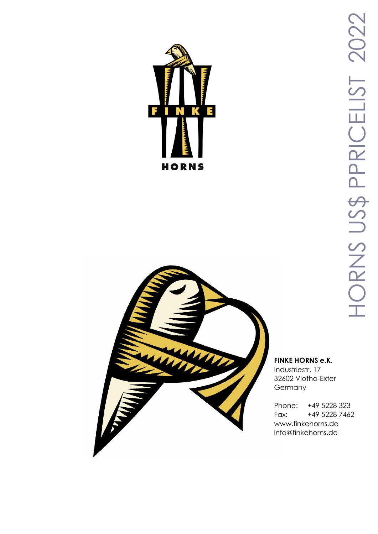



# HORNS US\$ PPRICELIST 202 HORNS US\$ PPRICELIST 2022

### **FINKE HORNS e.K.**

Industriestr. 17 32602 Vlotho-Exter Germany

Phone: +49 5228 323 Fax: +49 5228 7462 www.finkehorns.de info@finkehorns.de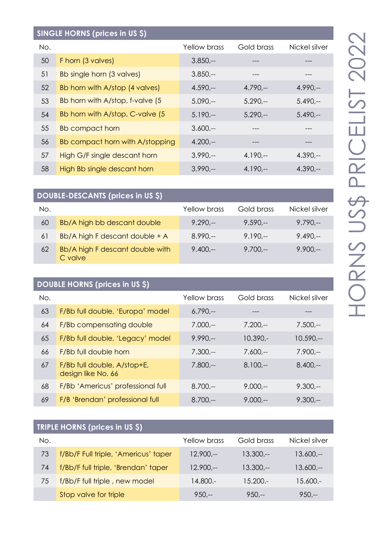| SINGLE HORNS (prices in US \$) |                                  |                     |            |               |
|--------------------------------|----------------------------------|---------------------|------------|---------------|
| No.                            |                                  | <b>Yellow brass</b> | Gold brass | Nickel silver |
| 50                             | F horn (3 valves)                | $3.850 -$           |            |               |
| 51                             | Bb single horn (3 valves)        | $3.850 -$           |            |               |
| 52                             | Bb horn with A/stop (4 valves)   | $4.590 -$           | $4.790 -$  | $4.990 -$     |
| 53                             | Bb horn with A/stop, f-valve (5) | $5.090 -$           | $5.290 -$  | $5.490 -$     |
| 54                             | Bb horn with A/stop, C-valve (5) | $5.190 -$           | $5.290 -$  | $5.490 -$     |
| 55                             | <b>Bb compact horn</b>           | $3.600 -$           |            |               |
| 56                             | Bb compact horn with A/stopping  | $4.200 -$           | ---        | ---           |
| 57                             | High G/F single descant horn     | $3.990 -$           | $4.190 -$  | $4.390 -$     |
| 58                             | High Bb single descant horn      | $3.990 -$           | $4.190 -$  | $4.390 -$     |

# **DOUBLE-DESCANTS (prices in US \$)**

| No. |                                            | Yellow brass | Gold brass | Nickel silver |
|-----|--------------------------------------------|--------------|------------|---------------|
| 60  | Bb/A high bb descant double                | $9.290 -$    | $9.590 -$  | $9.790 -$     |
| 61  | Bb/A high F descant double + A             | $8.990 -$    | $9.190 -$  | $9.490 -$     |
| 62  | Bb/A high F descant double with<br>C valve | $9.400 -$    | $9.700 -$  | $9.900 -$     |

# **DOUBLE HORNS (prices in US \$)**

| No. |                                                   | <b>Yellow brass</b> | Gold brass | Nickel silver |
|-----|---------------------------------------------------|---------------------|------------|---------------|
| 63  | F/Bb full double, 'Europa' model                  | $6.790 -$           |            |               |
| 64  | F/Bb compensating double                          | $7.000 -$           | $7.200 -$  | $7.500 -$     |
| 65  | F/Bb full double, 'Legacy' model                  | $9.990 -$           | $10.390 -$ | $10.590 -$    |
| 66  | F/Bb full double horn                             | $7.300 -$           | $7.600 -$  | $7.900 -$     |
| 67  | F/Bb full double, A/stop+E,<br>design like No. 66 | $7.800 -$           | $8.100 -$  | $8.400 -$     |
| 68  | F/Bb 'Americus' professional full                 | $8.700 -$           | $9.000 -$  | $9.300 -$     |
| 69  | F/B 'Brendan' professional full                   | $8.700 -$           | $9.000 -$  | $9.300 -$     |

| <b>TRIPLE HORNS (prices in US \$)</b> |                                      |              |            |               |
|---------------------------------------|--------------------------------------|--------------|------------|---------------|
| No.                                   |                                      | Yellow brass | Gold brass | Nickel silver |
| 73                                    | f/Bb/F Full triple, 'Americus' taper | $12.900 -$   | $13.300 -$ | $13.600 -$    |
| 74                                    | f/Bb/F full triple, 'Brendan' taper  | $12.900 -$   | $13.300 -$ | $13.600 -$    |
| 75                                    | f/Bb/F full triple, new model        | 14.800.-     | $15.200 -$ | $15.600 -$    |
|                                       | Stop valve for triple                | $950 -$      | $950 -$    | $950 -$       |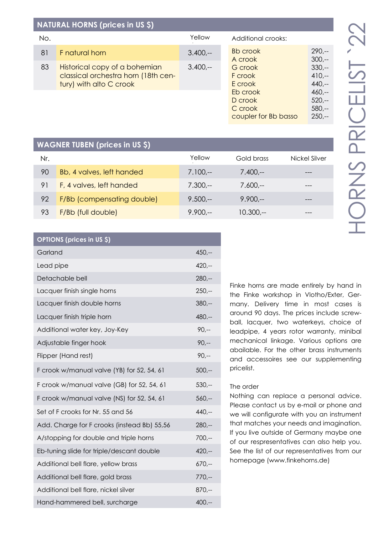| d<br>ŕ                                      |
|---------------------------------------------|
| ۰<br>г                                      |
| I<br>п<br>J.                                |
| ٠<br>Ï                                      |
| ۰<br>a.<br><b>Contract</b><br>٠<br>a a<br>Ī |

250,--

| <b>NATURAL HORNS (prices in US \$)</b> |                                                                                                 |           |                                |                               |  |
|----------------------------------------|-------------------------------------------------------------------------------------------------|-----------|--------------------------------|-------------------------------|--|
| No.                                    |                                                                                                 | Yellow    | Additional crooks:             |                               |  |
| 81                                     | F natural horn                                                                                  | $3.400 -$ | <b>Bb</b> crook<br>A crook     | $290 -$<br>$300 -$            |  |
| 83                                     | Historical copy of a bohemian<br>classical orchestra horn (18th cen-<br>tury) with alto C crook | $3.400 -$ | G crook<br>F crook<br>E crook  | $330 -$<br>$410,-$<br>$440,-$ |  |
|                                        |                                                                                                 |           | Eb crook<br>D crook<br>C crook | $460,-$<br>$520 -$<br>$580 -$ |  |

# **WAGNER TUBEN (prices in US \$)**

| Nr. |                            | Yellow    | Gold brass | Nickel Silver |
|-----|----------------------------|-----------|------------|---------------|
| 90  | Bb, 4 valves, left handed  | $7.100 -$ | $7.400 -$  | ---           |
| 91  | F, 4 valves, left handed   | $7.300 -$ | $7.600 -$  |               |
| 92  | F/Bb (compensating double) | $9.500 -$ | $9.900 -$  | ---           |
| 93  | F/Bb (full double)         | $9.900 -$ | $10.300 -$ |               |

| <b>OPTIONS (prices in US \$)</b>            |          |
|---------------------------------------------|----------|
| Garland                                     | $450,-$  |
| Lead pipe                                   | $420 -$  |
| Detachable bell                             | $280 -$  |
| Lacquer finish single horns                 | $250 -$  |
| Lacquer finish double horns                 | $380 -$  |
| Lacquer finish triple horn                  | 480 .--  |
| Additional water key, Joy-Key               | $90, -$  |
| Adjustable finger hook                      | $90, -$  |
| Flipper (Hand rest)                         | $90, -$  |
| F crook w/manual valve (YB) for 52, 54, 61  | $500, -$ |
| F crook w/manual valve (GB) for 52, 54, 61  | $530 -$  |
| F crook w/manual valve (NS) for 52, 54, 61  | $560,-$  |
| Set of F crooks for Nr. 55 and 56           | $440,-$  |
| Add. Charge for F crooks (instead Bb) 55,56 | $280 -$  |
| A/stopping for double and triple horns      | $700, -$ |
| Eb-tuning slide for triple/descant double   | $420 -$  |
| Additional bell flare, yellow brass         | $670,-$  |
| Additional bell flare, gold brass           | $770,-$  |
| Additional bell flare, nickel silver        | $870,-$  |
| Hand-hammered bell, surcharge               | $400 --$ |

Finke horns are made entirely by hand in the Finke workshop in Vlotho/Exter, Germany. Delivery time in most cases is around 90 days. The prices include screwball, lacquer, two waterkeys, choice of leadpipe, 4 years rotor warranty, minibal mechanical linkage. Various options are abailable. For the other brass instruments and accessoires see our supplementing pricelist.

### The order

coupler for Bb basso

Nothing can replace a personal advice. Please contact us by e-mail or phone and we will configurate with you an instrument that matches your needs and imagination. If you live outside of Germany maybe one of our respresentatives can also help you. See the list of our representatives from our homepage (www.finkehorns.de)